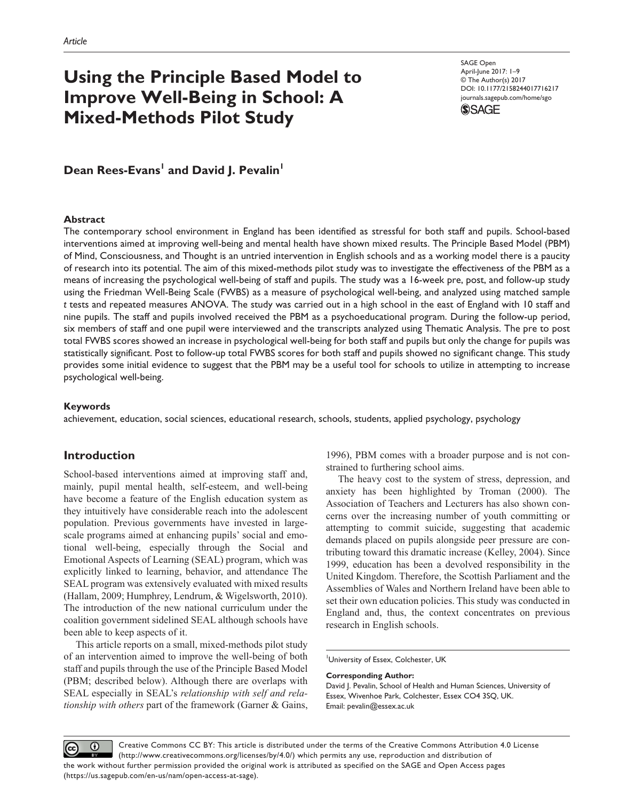# **Using the Principle Based Model to Improve Well-Being in School: A Mixed-Methods Pilot Study**

https://doi.org/10.1177/2158244017716217 DOI: 10.1177/2158244017716217 SAGE Open April-June 2017: 1–9 © The Author(s) 2017 [journals.sagepub.com/home/sgo](https://journals.sagepub.com/home/sgo)



**Dean Rees-Evans' and David J. Pevalin'** 

#### **Abstract**

The contemporary school environment in England has been identified as stressful for both staff and pupils. School-based interventions aimed at improving well-being and mental health have shown mixed results. The Principle Based Model (PBM) of Mind, Consciousness, and Thought is an untried intervention in English schools and as a working model there is a paucity of research into its potential. The aim of this mixed-methods pilot study was to investigate the effectiveness of the PBM as a means of increasing the psychological well-being of staff and pupils. The study was a 16-week pre, post, and follow-up study using the Friedman Well-Being Scale (FWBS) as a measure of psychological well-being, and analyzed using matched sample *t* tests and repeated measures ANOVA. The study was carried out in a high school in the east of England with 10 staff and nine pupils. The staff and pupils involved received the PBM as a psychoeducational program. During the follow-up period, six members of staff and one pupil were interviewed and the transcripts analyzed using Thematic Analysis. The pre to post total FWBS scores showed an increase in psychological well-being for both staff and pupils but only the change for pupils was statistically significant. Post to follow-up total FWBS scores for both staff and pupils showed no significant change. This study provides some initial evidence to suggest that the PBM may be a useful tool for schools to utilize in attempting to increase psychological well-being.

#### **Keywords**

achievement, education, social sciences, educational research, schools, students, applied psychology, psychology

# **Introduction**

School-based interventions aimed at improving staff and, mainly, pupil mental health, self-esteem, and well-being have become a feature of the English education system as they intuitively have considerable reach into the adolescent population. Previous governments have invested in largescale programs aimed at enhancing pupils' social and emotional well-being, especially through the Social and Emotional Aspects of Learning (SEAL) program, which was explicitly linked to learning, behavior, and attendance The SEAL program was extensively evaluated with mixed results (Hallam, 2009; Humphrey, Lendrum, & Wigelsworth, 2010). The introduction of the new national curriculum under the coalition government sidelined SEAL although schools have been able to keep aspects of it.

This article reports on a small, mixed-methods pilot study of an intervention aimed to improve the well-being of both staff and pupils through the use of the Principle Based Model (PBM; described below). Although there are overlaps with SEAL especially in SEAL's *relationship with self and relationship with others* part of the framework (Garner & Gains,

1996), PBM comes with a broader purpose and is not constrained to furthering school aims.

The heavy cost to the system of stress, depression, and anxiety has been highlighted by Troman (2000). The Association of Teachers and Lecturers has also shown concerns over the increasing number of youth committing or attempting to commit suicide, suggesting that academic demands placed on pupils alongside peer pressure are contributing toward this dramatic increase (Kelley, 2004). Since 1999, education has been a devolved responsibility in the United Kingdom. Therefore, the Scottish Parliament and the Assemblies of Wales and Northern Ireland have been able to set their own education policies. This study was conducted in England and, thus, the context concentrates on previous research in English schools.

University of Essex, Colchester, UK

**Corresponding Author:**

David J. Pevalin, School of Health and Human Sciences, University of Essex, Wivenhoe Park, Colchester, Essex CO4 3SQ, UK. Email: pevalin@essex.ac.uk

Creative Commons CC BY: This article is distributed under the terms of the Creative Commons Attribution 4.0 License  $\odot$ (cc) (http://www.creativecommons.org/licenses/by/4.0/) which permits any use, reproduction and distribution of the work without further permission provided the original work is attributed as specified on the SAGE and Open Access pages (https://us.sagepub.com/en-us/nam/open-access-at-sage).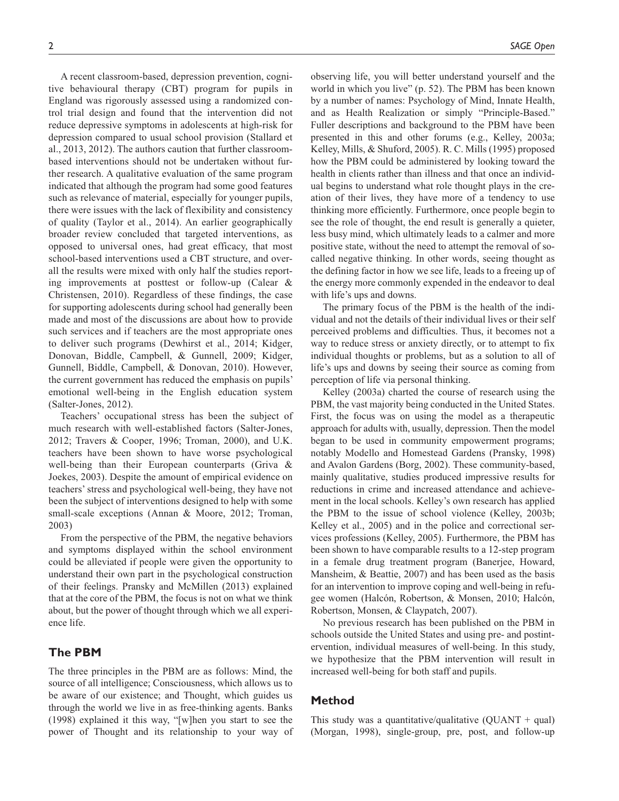A recent classroom-based, depression prevention, cognitive behavioural therapy (CBT) program for pupils in England was rigorously assessed using a randomized control trial design and found that the intervention did not reduce depressive symptoms in adolescents at high-risk for depression compared to usual school provision (Stallard et al., 2013, 2012). The authors caution that further classroombased interventions should not be undertaken without further research. A qualitative evaluation of the same program indicated that although the program had some good features such as relevance of material, especially for younger pupils, there were issues with the lack of flexibility and consistency of quality (Taylor et al., 2014). An earlier geographically broader review concluded that targeted interventions, as opposed to universal ones, had great efficacy, that most school-based interventions used a CBT structure, and overall the results were mixed with only half the studies reporting improvements at posttest or follow-up (Calear & Christensen, 2010). Regardless of these findings, the case for supporting adolescents during school had generally been made and most of the discussions are about how to provide such services and if teachers are the most appropriate ones to deliver such programs (Dewhirst et al., 2014; Kidger, Donovan, Biddle, Campbell, & Gunnell, 2009; Kidger, Gunnell, Biddle, Campbell, & Donovan, 2010). However, the current government has reduced the emphasis on pupils' emotional well-being in the English education system (Salter-Jones, 2012).

Teachers' occupational stress has been the subject of much research with well-established factors (Salter-Jones, 2012; Travers & Cooper, 1996; Troman, 2000), and U.K. teachers have been shown to have worse psychological well-being than their European counterparts (Griva & Joekes, 2003). Despite the amount of empirical evidence on teachers' stress and psychological well-being, they have not been the subject of interventions designed to help with some small-scale exceptions (Annan & Moore, 2012; Troman, 2003)

From the perspective of the PBM, the negative behaviors and symptoms displayed within the school environment could be alleviated if people were given the opportunity to understand their own part in the psychological construction of their feelings. Pransky and McMillen (2013) explained that at the core of the PBM, the focus is not on what we think about, but the power of thought through which we all experience life.

# **The PBM**

The three principles in the PBM are as follows: Mind, the source of all intelligence; Consciousness, which allows us to be aware of our existence; and Thought, which guides us through the world we live in as free-thinking agents. Banks (1998) explained it this way, "[w]hen you start to see the power of Thought and its relationship to your way of

observing life, you will better understand yourself and the world in which you live" (p. 52). The PBM has been known by a number of names: Psychology of Mind, Innate Health, and as Health Realization or simply "Principle-Based." Fuller descriptions and background to the PBM have been presented in this and other forums (e.g., Kelley, 2003a; Kelley, Mills, & Shuford, 2005). R. C. Mills (1995) proposed how the PBM could be administered by looking toward the health in clients rather than illness and that once an individual begins to understand what role thought plays in the creation of their lives, they have more of a tendency to use thinking more efficiently. Furthermore, once people begin to see the role of thought, the end result is generally a quieter, less busy mind, which ultimately leads to a calmer and more positive state, without the need to attempt the removal of socalled negative thinking. In other words, seeing thought as the defining factor in how we see life, leads to a freeing up of the energy more commonly expended in the endeavor to deal with life's ups and downs.

The primary focus of the PBM is the health of the individual and not the details of their individual lives or their self perceived problems and difficulties. Thus, it becomes not a way to reduce stress or anxiety directly, or to attempt to fix individual thoughts or problems, but as a solution to all of life's ups and downs by seeing their source as coming from perception of life via personal thinking.

Kelley (2003a) charted the course of research using the PBM, the vast majority being conducted in the United States. First, the focus was on using the model as a therapeutic approach for adults with, usually, depression. Then the model began to be used in community empowerment programs; notably Modello and Homestead Gardens (Pransky, 1998) and Avalon Gardens (Borg, 2002). These community-based, mainly qualitative, studies produced impressive results for reductions in crime and increased attendance and achievement in the local schools. Kelley's own research has applied the PBM to the issue of school violence (Kelley, 2003b; Kelley et al., 2005) and in the police and correctional services professions (Kelley, 2005). Furthermore, the PBM has been shown to have comparable results to a 12-step program in a female drug treatment program (Banerjee, Howard, Mansheim, & Beattie, 2007) and has been used as the basis for an intervention to improve coping and well-being in refugee women (Halcón, Robertson, & Monsen, 2010; Halcón, Robertson, Monsen, & Claypatch, 2007).

No previous research has been published on the PBM in schools outside the United States and using pre- and postintervention, individual measures of well-being. In this study, we hypothesize that the PBM intervention will result in increased well-being for both staff and pupils.

#### **Method**

This study was a quantitative/qualitative (QUANT + qual) (Morgan, 1998), single-group, pre, post, and follow-up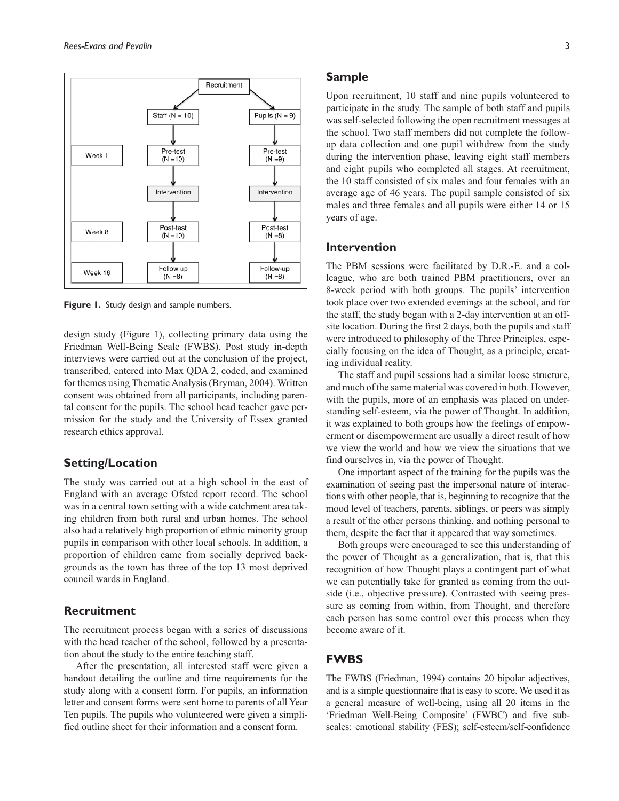

**Figure 1.** Study design and sample numbers.

design study (Figure 1), collecting primary data using the Friedman Well-Being Scale (FWBS). Post study in-depth interviews were carried out at the conclusion of the project, transcribed, entered into Max QDA 2, coded, and examined for themes using Thematic Analysis (Bryman, 2004). Written consent was obtained from all participants, including parental consent for the pupils. The school head teacher gave permission for the study and the University of Essex granted research ethics approval.

#### **Setting/Location**

The study was carried out at a high school in the east of England with an average Ofsted report record. The school was in a central town setting with a wide catchment area taking children from both rural and urban homes. The school also had a relatively high proportion of ethnic minority group pupils in comparison with other local schools. In addition, a proportion of children came from socially deprived backgrounds as the town has three of the top 13 most deprived council wards in England.

## **Recruitment**

The recruitment process began with a series of discussions with the head teacher of the school, followed by a presentation about the study to the entire teaching staff.

After the presentation, all interested staff were given a handout detailing the outline and time requirements for the study along with a consent form. For pupils, an information letter and consent forms were sent home to parents of all Year Ten pupils. The pupils who volunteered were given a simplified outline sheet for their information and a consent form.

#### **Sample**

Upon recruitment, 10 staff and nine pupils volunteered to participate in the study. The sample of both staff and pupils was self-selected following the open recruitment messages at the school. Two staff members did not complete the followup data collection and one pupil withdrew from the study during the intervention phase, leaving eight staff members and eight pupils who completed all stages. At recruitment, the 10 staff consisted of six males and four females with an average age of 46 years. The pupil sample consisted of six males and three females and all pupils were either 14 or 15 years of age.

#### **Intervention**

The PBM sessions were facilitated by D.R.-E. and a colleague, who are both trained PBM practitioners, over an 8-week period with both groups. The pupils' intervention took place over two extended evenings at the school, and for the staff, the study began with a 2-day intervention at an offsite location. During the first 2 days, both the pupils and staff were introduced to philosophy of the Three Principles, especially focusing on the idea of Thought, as a principle, creating individual reality.

The staff and pupil sessions had a similar loose structure, and much of the same material was covered in both. However, with the pupils, more of an emphasis was placed on understanding self-esteem, via the power of Thought. In addition, it was explained to both groups how the feelings of empowerment or disempowerment are usually a direct result of how we view the world and how we view the situations that we find ourselves in, via the power of Thought.

One important aspect of the training for the pupils was the examination of seeing past the impersonal nature of interactions with other people, that is, beginning to recognize that the mood level of teachers, parents, siblings, or peers was simply a result of the other persons thinking, and nothing personal to them, despite the fact that it appeared that way sometimes.

Both groups were encouraged to see this understanding of the power of Thought as a generalization, that is, that this recognition of how Thought plays a contingent part of what we can potentially take for granted as coming from the outside (i.e., objective pressure). Contrasted with seeing pressure as coming from within, from Thought, and therefore each person has some control over this process when they become aware of it.

## **FWBS**

The FWBS (Friedman, 1994) contains 20 bipolar adjectives, and is a simple questionnaire that is easy to score. We used it as a general measure of well-being, using all 20 items in the 'Friedman Well-Being Composite' (FWBC) and five subscales: emotional stability (FES); self-esteem/self-confidence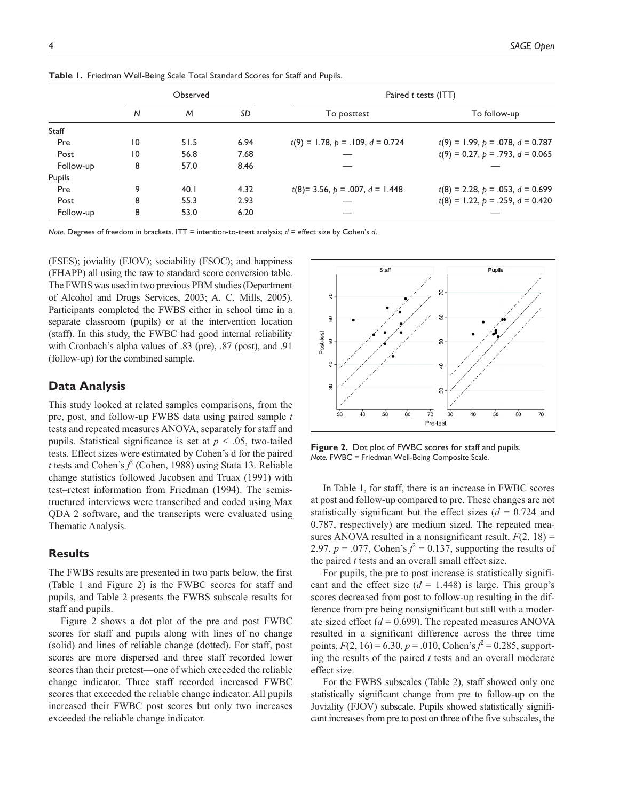|           | Observed        |      |      | Paired t tests (ITT)                     |                                          |  |
|-----------|-----------------|------|------|------------------------------------------|------------------------------------------|--|
|           | N               | M    | SD   | To posttest                              | To follow-up                             |  |
| Staff     |                 |      |      |                                          |                                          |  |
| Pre       | $\overline{10}$ | 51.5 | 6.94 | $t(9) = 1.78$ , $p = .109$ , $d = 0.724$ | $t(9) = 1.99$ , $p = .078$ , $d = 0.787$ |  |
| Post      | $\overline{10}$ | 56.8 | 7.68 |                                          | $t(9) = 0.27$ , $p = .793$ , $d = 0.065$ |  |
| Follow-up | 8               | 57.0 | 8.46 |                                          |                                          |  |
| Pupils    |                 |      |      |                                          |                                          |  |
| Pre       | 9               | 40.1 | 4.32 | $t(8)=3.56, p=.007, d=1.448$             | $t(8) = 2.28, p = .053, d = 0.699$       |  |
| Post      | 8               | 55.3 | 2.93 |                                          | $t(8) = 1.22, p = .259, d = 0.420$       |  |
| Follow-up | 8               | 53.0 | 6.20 |                                          |                                          |  |

**Table 1.** Friedman Well-Being Scale Total Standard Scores for Staff and Pupils.

*Note.* Degrees of freedom in brackets. ITT = intention-to-treat analysis; *d* = effect size by Cohen's *d*.

(FSES); joviality (FJOV); sociability (FSOC); and happiness (FHAPP) all using the raw to standard score conversion table. The FWBS was used in two previous PBM studies (Department of Alcohol and Drugs Services, 2003; A. C. Mills, 2005). Participants completed the FWBS either in school time in a separate classroom (pupils) or at the intervention location (staff). In this study, the FWBC had good internal reliability with Cronbach's alpha values of .83 (pre), .87 (post), and .91 (follow-up) for the combined sample.

#### **Data Analysis**

This study looked at related samples comparisons, from the pre, post, and follow-up FWBS data using paired sample *t* tests and repeated measures ANOVA, separately for staff and pupils. Statistical significance is set at  $p < .05$ , two-tailed tests. Effect sizes were estimated by Cohen's d for the paired *t* tests and Cohen's  $f^2$  (Cohen, 1988) using Stata 13. Reliable change statistics followed Jacobsen and Truax (1991) with test–retest information from Friedman (1994). The semistructured interviews were transcribed and coded using Max QDA 2 software, and the transcripts were evaluated using Thematic Analysis.

#### **Results**

The FWBS results are presented in two parts below, the first (Table 1 and Figure 2) is the FWBC scores for staff and pupils, and Table 2 presents the FWBS subscale results for staff and pupils.

Figure 2 shows a dot plot of the pre and post FWBC scores for staff and pupils along with lines of no change (solid) and lines of reliable change (dotted). For staff, post scores are more dispersed and three staff recorded lower scores than their pretest—one of which exceeded the reliable change indicator. Three staff recorded increased FWBC scores that exceeded the reliable change indicator. All pupils increased their FWBC post scores but only two increases exceeded the reliable change indicator.



**Figure 2.** Dot plot of FWBC scores for staff and pupils. *Note.* FWBC = Friedman Well-Being Composite Scale.

In Table 1, for staff, there is an increase in FWBC scores at post and follow-up compared to pre. These changes are not statistically significant but the effect sizes  $(d = 0.724$  and 0.787, respectively) are medium sized. The repeated measures ANOVA resulted in a nonsignificant result,  $F(2, 18) =$ 2.97,  $p = .077$ , Cohen's  $f^2 = 0.137$ , supporting the results of the paired *t* tests and an overall small effect size.

For pupils, the pre to post increase is statistically significant and the effect size  $(d = 1.448)$  is large. This group's scores decreased from post to follow-up resulting in the difference from pre being nonsignificant but still with a moderate sized effect  $(d = 0.699)$ . The repeated measures ANOVA resulted in a significant difference across the three time points,  $F(2, 16) = 6.30, p = .010$ , Cohen's  $f^2 = 0.285$ , supporting the results of the paired *t* tests and an overall moderate effect size.

For the FWBS subscales (Table 2), staff showed only one statistically significant change from pre to follow-up on the Joviality (FJOV) subscale. Pupils showed statistically significant increases from pre to post on three of the five subscales, the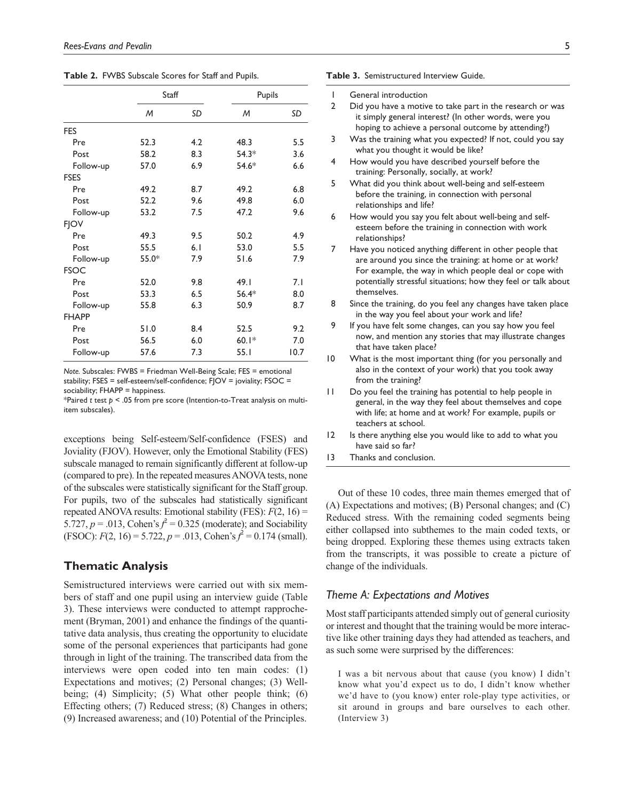| Table 2. FWBS Subscale Scores for Staff and Pupils. |  |  |  |  |
|-----------------------------------------------------|--|--|--|--|
|-----------------------------------------------------|--|--|--|--|

|              | Staff |     |         | Pupils |  |  |
|--------------|-------|-----|---------|--------|--|--|
|              | M     | SD  | M       | SD     |  |  |
| <b>FES</b>   |       |     |         |        |  |  |
| Pre          | 52.3  | 4.2 | 48.3    | 5.5    |  |  |
| Post         | 58.2  | 8.3 | $54.3*$ | 3.6    |  |  |
| Follow-up    | 57.0  | 6.9 | $54.6*$ | 6.6    |  |  |
| <b>FSES</b>  |       |     |         |        |  |  |
| Pre          | 49.2  | 8.7 | 49.2    | 6.8    |  |  |
| Post         | 52.2  | 9.6 | 49.8    | 6.0    |  |  |
| Follow-up    | 53.2  | 7.5 | 47.2    | 9.6    |  |  |
| <b>FJOV</b>  |       |     |         |        |  |  |
| Pre          | 49.3  | 9.5 | 50.2    | 4.9    |  |  |
| Post         | 55.5  | 6.1 | 53.0    | 5.5    |  |  |
| Follow-up    | 55.0* | 7.9 | 51.6    | 7.9    |  |  |
| <b>FSOC</b>  |       |     |         |        |  |  |
| Pre          | 52.0  | 9.8 | 49.1    | 7.1    |  |  |
| Post         | 53.3  | 6.5 | $56.4*$ | 8.0    |  |  |
| Follow-up    | 55.8  | 6.3 | 50.9    | 8.7    |  |  |
| <b>FHAPP</b> |       |     |         |        |  |  |
| Pre          | 51.0  | 8.4 | 52.5    | 9.2    |  |  |
| Post         | 56.5  | 6.0 | $60.1*$ | 7.0    |  |  |
| Follow-up    | 57.6  | 7.3 | 55.1    | 10.7   |  |  |

*Note.* Subscales: FWBS = Friedman Well-Being Scale; FES = emotional stability; FSES = self-esteem/self-confidence; FJOV = joviality; FSOC = sociability; FHAPP = happiness.

\*Paired *t* test *p* < .05 from pre score (Intention-to-Treat analysis on multiitem subscales).

exceptions being Self-esteem/Self-confidence (FSES) and Joviality (FJOV). However, only the Emotional Stability (FES) subscale managed to remain significantly different at follow-up (compared to pre). In the repeated measures ANOVA tests, none of the subscales were statistically significant for the Staff group. For pupils, two of the subscales had statistically significant repeated ANOVA results: Emotional stability (FES): *F*(2, 16) = 5.727,  $p = .013$ , Cohen's  $\hat{f} = 0.325$  (moderate); and Sociability (FSOC):  $F(2, 16) = 5.722$ ,  $p = .013$ , Cohen's  $\hat{f} = 0.174$  (small).

## **Thematic Analysis**

Semistructured interviews were carried out with six members of staff and one pupil using an interview guide (Table 3). These interviews were conducted to attempt rapprochement (Bryman, 2001) and enhance the findings of the quantitative data analysis, thus creating the opportunity to elucidate some of the personal experiences that participants had gone through in light of the training. The transcribed data from the interviews were open coded into ten main codes: (1) Expectations and motives; (2) Personal changes; (3) Wellbeing; (4) Simplicity; (5) What other people think; (6) Effecting others; (7) Reduced stress; (8) Changes in others; (9) Increased awareness; and (10) Potential of the Principles.

**Table 3.** Semistructured Interview Guide.

| I              | General introduction                                                                                                                                                                                                                                         |
|----------------|--------------------------------------------------------------------------------------------------------------------------------------------------------------------------------------------------------------------------------------------------------------|
| $\overline{2}$ | Did you have a motive to take part in the research or was<br>it simply general interest? (In other words, were you<br>hoping to achieve a personal outcome by attending?)                                                                                    |
| 3              | Was the training what you expected? If not, could you say<br>what you thought it would be like?                                                                                                                                                              |
| 4              | How would you have described yourself before the<br>training: Personally, socially, at work?                                                                                                                                                                 |
| 5              | What did you think about well-being and self-esteem<br>before the training, in connection with personal<br>relationships and life?                                                                                                                           |
| 6              | How would you say you felt about well-being and self-<br>esteem before the training in connection with work<br>relationships?                                                                                                                                |
| 7              | Have you noticed anything different in other people that<br>are around you since the training: at home or at work?<br>For example, the way in which people deal or cope with<br>potentially stressful situations; how they feel or talk about<br>themselves. |
| 8              | Since the training, do you feel any changes have taken place<br>in the way you feel about your work and life?                                                                                                                                                |
| 9              | If you have felt some changes, can you say how you feel<br>now, and mention any stories that may illustrate changes<br>that have taken place?                                                                                                                |
| $\overline{0}$ | What is the most important thing (for you personally and<br>also in the context of your work) that you took away<br>from the training?                                                                                                                       |
| П              | Do you feel the training has potential to help people in<br>general, in the way they feel about themselves and cope<br>with life; at home and at work? For example, pupils or<br>teachers at school.                                                         |
| 12             | Is there anything else you would like to add to what you<br>have said so far?                                                                                                                                                                                |
| 13             | Thanks and conclusion.                                                                                                                                                                                                                                       |

Out of these 10 codes, three main themes emerged that of (A) Expectations and motives; (B) Personal changes; and (C) Reduced stress. With the remaining coded segments being either collapsed into subthemes to the main coded texts, or being dropped. Exploring these themes using extracts taken from the transcripts, it was possible to create a picture of change of the individuals.

### *Theme A: Expectations and Motives*

Most staff participants attended simply out of general curiosity or interest and thought that the training would be more interactive like other training days they had attended as teachers, and as such some were surprised by the differences:

I was a bit nervous about that cause (you know) I didn't know what you'd expect us to do, I didn't know whether we'd have to (you know) enter role-play type activities, or sit around in groups and bare ourselves to each other. (Interview 3)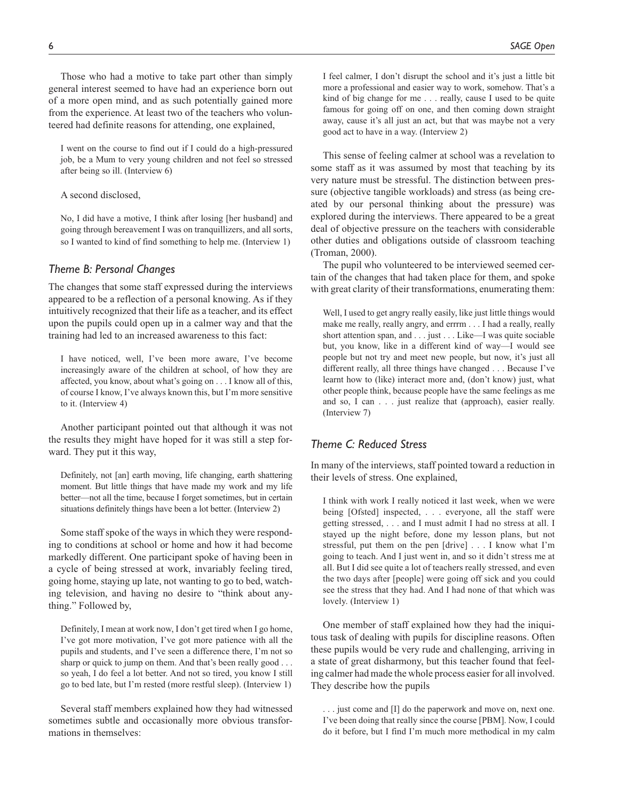Those who had a motive to take part other than simply general interest seemed to have had an experience born out of a more open mind, and as such potentially gained more from the experience. At least two of the teachers who volunteered had definite reasons for attending, one explained,

I went on the course to find out if I could do a high-pressured job, be a Mum to very young children and not feel so stressed after being so ill. (Interview 6)

A second disclosed,

No, I did have a motive, I think after losing [her husband] and going through bereavement I was on tranquillizers, and all sorts, so I wanted to kind of find something to help me. (Interview 1)

## *Theme B: Personal Changes*

The changes that some staff expressed during the interviews appeared to be a reflection of a personal knowing. As if they intuitively recognized that their life as a teacher, and its effect upon the pupils could open up in a calmer way and that the training had led to an increased awareness to this fact:

I have noticed, well, I've been more aware, I've become increasingly aware of the children at school, of how they are affected, you know, about what's going on . . . I know all of this, of course I know, I've always known this, but I'm more sensitive to it. (Interview 4)

Another participant pointed out that although it was not the results they might have hoped for it was still a step forward. They put it this way,

Definitely, not [an] earth moving, life changing, earth shattering moment. But little things that have made my work and my life better—not all the time, because I forget sometimes, but in certain situations definitely things have been a lot better. (Interview 2)

Some staff spoke of the ways in which they were responding to conditions at school or home and how it had become markedly different. One participant spoke of having been in a cycle of being stressed at work, invariably feeling tired, going home, staying up late, not wanting to go to bed, watching television, and having no desire to "think about anything." Followed by,

Definitely, I mean at work now, I don't get tired when I go home, I've got more motivation, I've got more patience with all the pupils and students, and I've seen a difference there, I'm not so sharp or quick to jump on them. And that's been really good . . . so yeah, I do feel a lot better. And not so tired, you know I still go to bed late, but I'm rested (more restful sleep). (Interview 1)

Several staff members explained how they had witnessed sometimes subtle and occasionally more obvious transformations in themselves:

I feel calmer, I don't disrupt the school and it's just a little bit more a professional and easier way to work, somehow. That's a kind of big change for me . . . really, cause I used to be quite famous for going off on one, and then coming down straight away, cause it's all just an act, but that was maybe not a very good act to have in a way. (Interview 2)

This sense of feeling calmer at school was a revelation to some staff as it was assumed by most that teaching by its very nature must be stressful. The distinction between pressure (objective tangible workloads) and stress (as being created by our personal thinking about the pressure) was explored during the interviews. There appeared to be a great deal of objective pressure on the teachers with considerable other duties and obligations outside of classroom teaching (Troman, 2000).

The pupil who volunteered to be interviewed seemed certain of the changes that had taken place for them, and spoke with great clarity of their transformations, enumerating them:

Well, I used to get angry really easily, like just little things would make me really, really angry, and errrm . . . I had a really, really short attention span, and . . . just . . . Like—I was quite sociable but, you know, like in a different kind of way—I would see people but not try and meet new people, but now, it's just all different really, all three things have changed . . . Because I've learnt how to (like) interact more and, (don't know) just, what other people think, because people have the same feelings as me and so, I can . . . just realize that (approach), easier really. (Interview 7)

# *Theme C: Reduced Stress*

In many of the interviews, staff pointed toward a reduction in their levels of stress. One explained,

I think with work I really noticed it last week, when we were being [Ofsted] inspected, . . . everyone, all the staff were getting stressed, . . . and I must admit I had no stress at all. I stayed up the night before, done my lesson plans, but not stressful, put them on the pen [drive] . . . I know what I'm going to teach. And I just went in, and so it didn't stress me at all. But I did see quite a lot of teachers really stressed, and even the two days after [people] were going off sick and you could see the stress that they had. And I had none of that which was lovely. (Interview 1)

One member of staff explained how they had the iniquitous task of dealing with pupils for discipline reasons. Often these pupils would be very rude and challenging, arriving in a state of great disharmony, but this teacher found that feeling calmer had made the whole process easier for all involved. They describe how the pupils

. . . just come and [I] do the paperwork and move on, next one. I've been doing that really since the course [PBM]. Now, I could do it before, but I find I'm much more methodical in my calm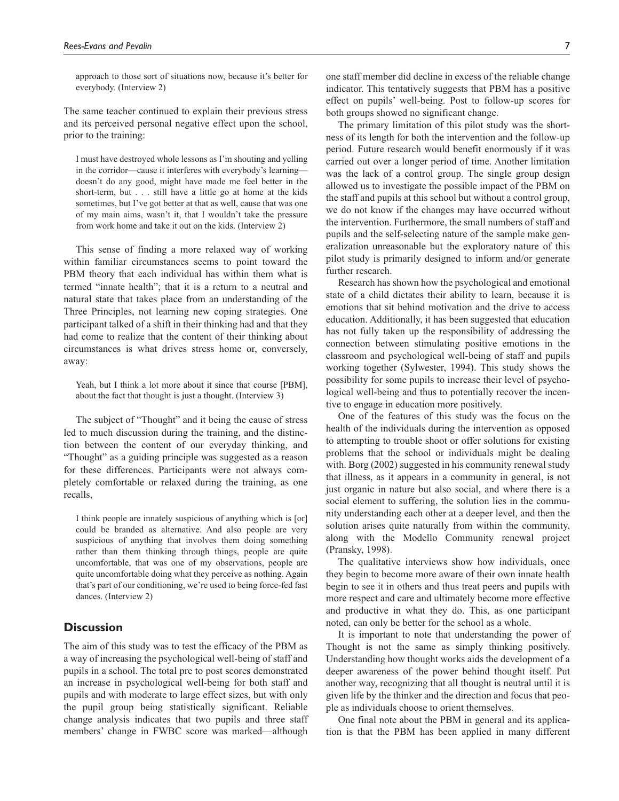approach to those sort of situations now, because it's better for everybody. (Interview 2)

The same teacher continued to explain their previous stress and its perceived personal negative effect upon the school, prior to the training:

I must have destroyed whole lessons as I'm shouting and yelling in the corridor—cause it interferes with everybody's learning doesn't do any good, might have made me feel better in the short-term, but . . . still have a little go at home at the kids sometimes, but I've got better at that as well, cause that was one of my main aims, wasn't it, that I wouldn't take the pressure from work home and take it out on the kids. (Interview 2)

This sense of finding a more relaxed way of working within familiar circumstances seems to point toward the PBM theory that each individual has within them what is termed "innate health"; that it is a return to a neutral and natural state that takes place from an understanding of the Three Principles, not learning new coping strategies. One participant talked of a shift in their thinking had and that they had come to realize that the content of their thinking about circumstances is what drives stress home or, conversely, away:

Yeah, but I think a lot more about it since that course [PBM], about the fact that thought is just a thought. (Interview 3)

The subject of "Thought" and it being the cause of stress led to much discussion during the training, and the distinction between the content of our everyday thinking, and "Thought" as a guiding principle was suggested as a reason for these differences. Participants were not always completely comfortable or relaxed during the training, as one recalls,

I think people are innately suspicious of anything which is [or] could be branded as alternative. And also people are very suspicious of anything that involves them doing something rather than them thinking through things, people are quite uncomfortable, that was one of my observations, people are quite uncomfortable doing what they perceive as nothing. Again that's part of our conditioning, we're used to being force-fed fast dances. (Interview 2)

# **Discussion**

The aim of this study was to test the efficacy of the PBM as a way of increasing the psychological well-being of staff and pupils in a school. The total pre to post scores demonstrated an increase in psychological well-being for both staff and pupils and with moderate to large effect sizes, but with only the pupil group being statistically significant. Reliable change analysis indicates that two pupils and three staff members' change in FWBC score was marked—although one staff member did decline in excess of the reliable change indicator. This tentatively suggests that PBM has a positive effect on pupils' well-being. Post to follow-up scores for both groups showed no significant change.

The primary limitation of this pilot study was the shortness of its length for both the intervention and the follow-up period. Future research would benefit enormously if it was carried out over a longer period of time. Another limitation was the lack of a control group. The single group design allowed us to investigate the possible impact of the PBM on the staff and pupils at this school but without a control group, we do not know if the changes may have occurred without the intervention. Furthermore, the small numbers of staff and pupils and the self-selecting nature of the sample make generalization unreasonable but the exploratory nature of this pilot study is primarily designed to inform and/or generate further research.

Research has shown how the psychological and emotional state of a child dictates their ability to learn, because it is emotions that sit behind motivation and the drive to access education. Additionally, it has been suggested that education has not fully taken up the responsibility of addressing the connection between stimulating positive emotions in the classroom and psychological well-being of staff and pupils working together (Sylwester, 1994). This study shows the possibility for some pupils to increase their level of psychological well-being and thus to potentially recover the incentive to engage in education more positively.

One of the features of this study was the focus on the health of the individuals during the intervention as opposed to attempting to trouble shoot or offer solutions for existing problems that the school or individuals might be dealing with. Borg (2002) suggested in his community renewal study that illness, as it appears in a community in general, is not just organic in nature but also social, and where there is a social element to suffering, the solution lies in the community understanding each other at a deeper level, and then the solution arises quite naturally from within the community, along with the Modello Community renewal project (Pransky, 1998).

The qualitative interviews show how individuals, once they begin to become more aware of their own innate health begin to see it in others and thus treat peers and pupils with more respect and care and ultimately become more effective and productive in what they do. This, as one participant noted, can only be better for the school as a whole.

It is important to note that understanding the power of Thought is not the same as simply thinking positively. Understanding how thought works aids the development of a deeper awareness of the power behind thought itself. Put another way, recognizing that all thought is neutral until it is given life by the thinker and the direction and focus that people as individuals choose to orient themselves.

One final note about the PBM in general and its application is that the PBM has been applied in many different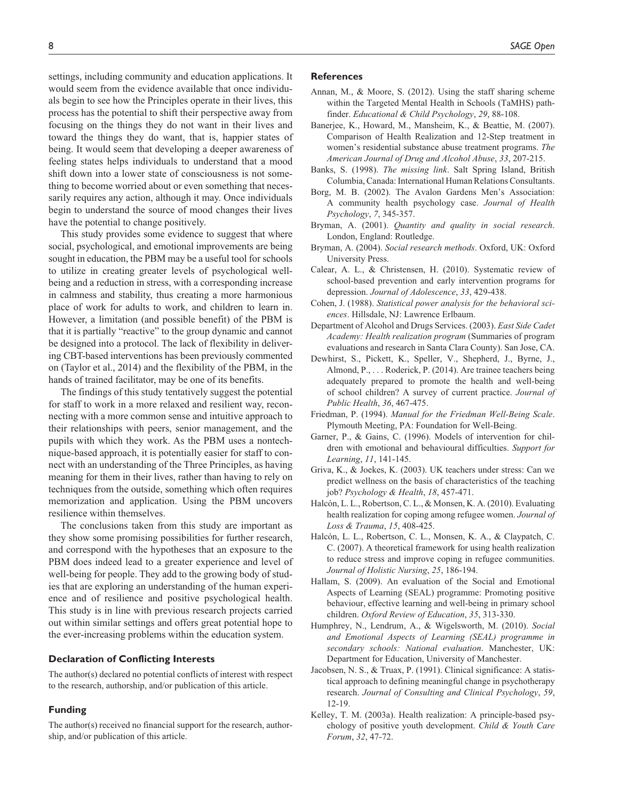settings, including community and education applications. It would seem from the evidence available that once individuals begin to see how the Principles operate in their lives, this process has the potential to shift their perspective away from focusing on the things they do not want in their lives and toward the things they do want, that is, happier states of being. It would seem that developing a deeper awareness of feeling states helps individuals to understand that a mood shift down into a lower state of consciousness is not something to become worried about or even something that necessarily requires any action, although it may. Once individuals begin to understand the source of mood changes their lives have the potential to change positively.

This study provides some evidence to suggest that where social, psychological, and emotional improvements are being sought in education, the PBM may be a useful tool for schools to utilize in creating greater levels of psychological wellbeing and a reduction in stress, with a corresponding increase in calmness and stability, thus creating a more harmonious place of work for adults to work, and children to learn in. However, a limitation (and possible benefit) of the PBM is that it is partially "reactive" to the group dynamic and cannot be designed into a protocol. The lack of flexibility in delivering CBT-based interventions has been previously commented on (Taylor et al., 2014) and the flexibility of the PBM, in the hands of trained facilitator, may be one of its benefits.

The findings of this study tentatively suggest the potential for staff to work in a more relaxed and resilient way, reconnecting with a more common sense and intuitive approach to their relationships with peers, senior management, and the pupils with which they work. As the PBM uses a nontechnique-based approach, it is potentially easier for staff to connect with an understanding of the Three Principles, as having meaning for them in their lives, rather than having to rely on techniques from the outside, something which often requires memorization and application. Using the PBM uncovers resilience within themselves.

The conclusions taken from this study are important as they show some promising possibilities for further research, and correspond with the hypotheses that an exposure to the PBM does indeed lead to a greater experience and level of well-being for people. They add to the growing body of studies that are exploring an understanding of the human experience and of resilience and positive psychological health. This study is in line with previous research projects carried out within similar settings and offers great potential hope to the ever-increasing problems within the education system.

#### **Declaration of Conflicting Interests**

The author(s) declared no potential conflicts of interest with respect to the research, authorship, and/or publication of this article.

#### **Funding**

The author(s) received no financial support for the research, authorship, and/or publication of this article.

#### **References**

- Annan, M., & Moore, S. (2012). Using the staff sharing scheme within the Targeted Mental Health in Schools (TaMHS) pathfinder. *Educational & Child Psychology*, *29*, 88-108.
- Banerjee, K., Howard, M., Mansheim, K., & Beattie, M. (2007). Comparison of Health Realization and 12-Step treatment in women's residential substance abuse treatment programs. *The American Journal of Drug and Alcohol Abuse*, *33*, 207-215.
- Banks, S. (1998). *The missing link*. Salt Spring Island, British Columbia, Canada: International Human Relations Consultants.
- Borg, M. B. (2002). The Avalon Gardens Men's Association: A community health psychology case. *Journal of Health Psychology*, *7*, 345-357.
- Bryman, A. (2001). *Quantity and quality in social research*. London, England: Routledge.
- Bryman, A. (2004). *Social research methods*. Oxford, UK: Oxford University Press.
- Calear, A. L., & Christensen, H. (2010). Systematic review of school-based prevention and early intervention programs for depression. *Journal of Adolescence*, *33*, 429-438.
- Cohen, J. (1988). *Statistical power analysis for the behavioral sciences*. Hillsdale, NJ: Lawrence Erlbaum.
- Department of Alcohol and Drugs Services. (2003). *East Side Cadet Academy: Health realization program* (Summaries of program evaluations and research in Santa Clara County). San Jose, CA.
- Dewhirst, S., Pickett, K., Speller, V., Shepherd, J., Byrne, J., Almond, P., . . . Roderick, P. (2014). Are trainee teachers being adequately prepared to promote the health and well-being of school children? A survey of current practice. *Journal of Public Health*, *36*, 467-475.
- Friedman, P. (1994). *Manual for the Friedman Well-Being Scale*. Plymouth Meeting, PA: Foundation for Well-Being.
- Garner, P., & Gains, C. (1996). Models of intervention for children with emotional and behavioural difficulties. *Support for Learning*, *11*, 141-145.
- Griva, K., & Joekes, K. (2003). UK teachers under stress: Can we predict wellness on the basis of characteristics of the teaching job? *Psychology & Health*, *18*, 457-471.
- Halcón, L. L., Robertson, C. L., & Monsen, K. A. (2010). Evaluating health realization for coping among refugee women. *Journal of Loss & Trauma*, *15*, 408-425.
- Halcón, L. L., Robertson, C. L., Monsen, K. A., & Claypatch, C. C. (2007). A theoretical framework for using health realization to reduce stress and improve coping in refugee communities. *Journal of Holistic Nursing*, *25*, 186-194.
- Hallam, S. (2009). An evaluation of the Social and Emotional Aspects of Learning (SEAL) programme: Promoting positive behaviour, effective learning and well-being in primary school children. *Oxford Review of Education*, *35*, 313-330.
- Humphrey, N., Lendrum, A., & Wigelsworth, M. (2010). *Social and Emotional Aspects of Learning (SEAL) programme in secondary schools: National evaluation*. Manchester, UK: Department for Education, University of Manchester.
- Jacobsen, N. S., & Truax, P. (1991). Clinical significance: A statistical approach to defining meaningful change in psychotherapy research. *Journal of Consulting and Clinical Psychology*, *59*, 12-19.
- Kelley, T. M. (2003a). Health realization: A principle-based psychology of positive youth development. *Child & Youth Care Forum*, *32*, 47-72.